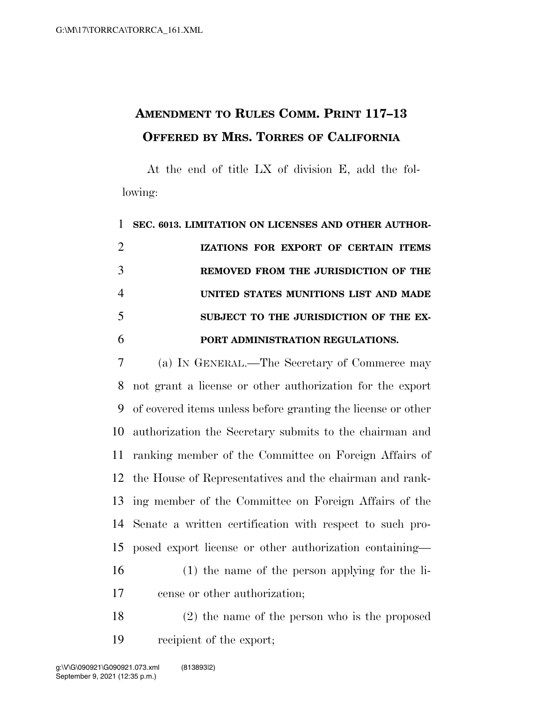## **AMENDMENT TO RULES COMM. PRINT 117–13 OFFERED BY MRS. TORRES OF CALIFORNIA**

At the end of title LX of division E, add the following:

 **SEC. 6013. LIMITATION ON LICENSES AND OTHER AUTHOR- IZATIONS FOR EXPORT OF CERTAIN ITEMS REMOVED FROM THE JURISDICTION OF THE UNITED STATES MUNITIONS LIST AND MADE SUBJECT TO THE JURISDICTION OF THE EX-PORT ADMINISTRATION REGULATIONS.** 

 (a) IN GENERAL.—The Secretary of Commerce may not grant a license or other authorization for the export of covered items unless before granting the license or other authorization the Secretary submits to the chairman and ranking member of the Committee on Foreign Affairs of the House of Representatives and the chairman and rank- ing member of the Committee on Foreign Affairs of the Senate a written certification with respect to such pro- posed export license or other authorization containing— (1) the name of the person applying for the li-cense or other authorization;

 (2) the name of the person who is the proposed recipient of the export;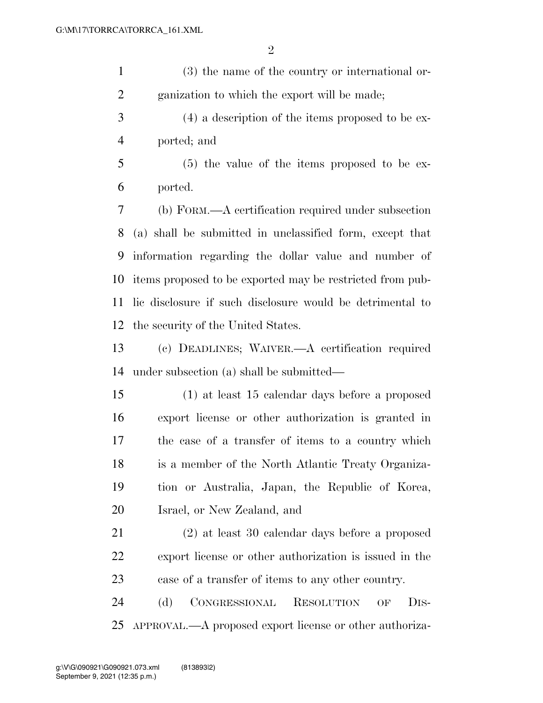(3) the name of the country or international or-ganization to which the export will be made;

- (4) a description of the items proposed to be ex-ported; and
- (5) the value of the items proposed to be ex-ported.

 (b) FORM.—A certification required under subsection (a) shall be submitted in unclassified form, except that information regarding the dollar value and number of items proposed to be exported may be restricted from pub- lic disclosure if such disclosure would be detrimental to the security of the United States.

 (c) DEADLINES; WAIVER.—A certification required under subsection (a) shall be submitted—

 (1) at least 15 calendar days before a proposed export license or other authorization is granted in the case of a transfer of items to a country which is a member of the North Atlantic Treaty Organiza- tion or Australia, Japan, the Republic of Korea, Israel, or New Zealand, and

 (2) at least 30 calendar days before a proposed export license or other authorization is issued in the case of a transfer of items to any other country.

 (d) CONGRESSIONAL RESOLUTION OF DIS-APPROVAL.—A proposed export license or other authoriza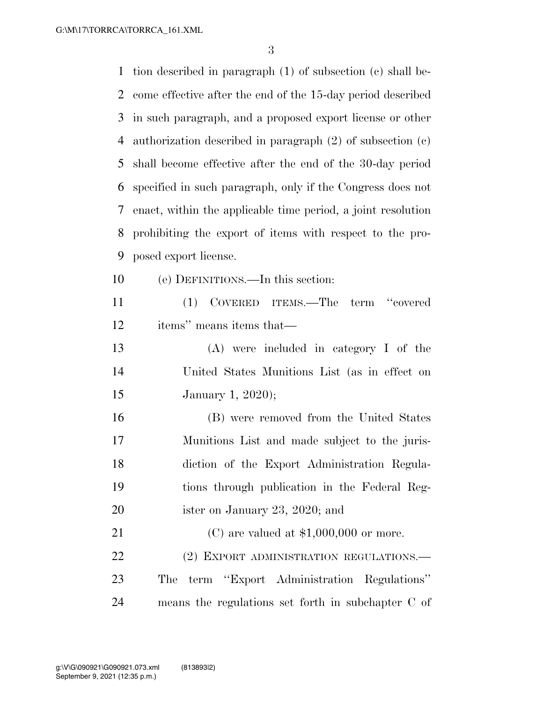tion described in paragraph (1) of subsection (c) shall be- come effective after the end of the 15-day period described in such paragraph, and a proposed export license or other authorization described in paragraph (2) of subsection (c) shall become effective after the end of the 30-day period specified in such paragraph, only if the Congress does not enact, within the applicable time period, a joint resolution prohibiting the export of items with respect to the pro- posed export license. (e) DEFINITIONS.—In this section: (1) COVERED ITEMS.—The term ''covered items'' means items that— (A) were included in category I of the United States Munitions List (as in effect on January 1, 2020); (B) were removed from the United States Munitions List and made subject to the juris- diction of the Export Administration Regula- tions through publication in the Federal Reg-20 ister on January 23, 2020; and (C) are valued at \$1,000,000 or more. 22 (2) EXPORT ADMINISTRATION REGULATIONS. The term ''Export Administration Regulations'' means the regulations set forth in subchapter C of